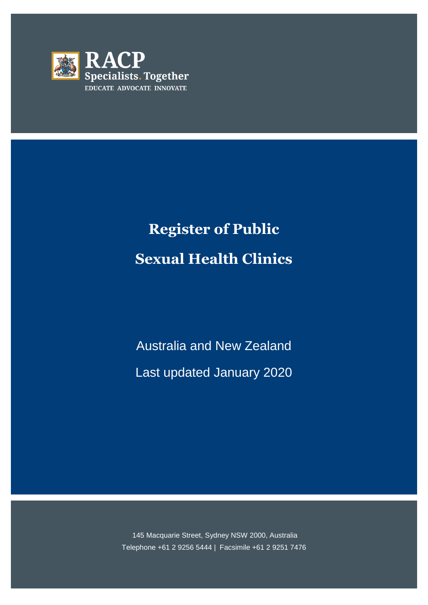

# **Register of Public Sexual Health Clinics**

Australia and New Zealand Last updated January 2020

145 Macquarie Street, Sydney NSW 2000, Australia Telephone +61 2 9256 5444 | Facsimile +61 2 9251 7476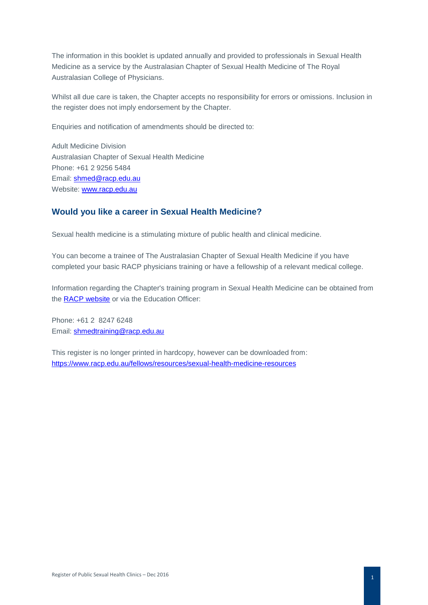The information in this booklet is updated annually and provided to professionals in Sexual Health Medicine as a service by the Australasian Chapter of Sexual Health Medicine of The Royal Australasian College of Physicians.

Whilst all due care is taken, the Chapter accepts no responsibility for errors or omissions. Inclusion in the register does not imply endorsement by the Chapter.

Enquiries and notification of amendments should be directed to:

Adult Medicine Division Australasian Chapter of Sexual Health Medicine Phone: +61 2 9256 5484 Email: [shmed@racp.edu.au](mailto:shmed@racp.edu.au)  Website: [www.racp.edu.au](http://www.racp.edu.au/) 

#### **Would you like a career in Sexual Health Medicine?**

Sexual health medicine is a stimulating mixture of public health and clinical medicine.

You can become a trainee of The Australasian Chapter of Sexual Health Medicine if you have completed your basic RACP physicians training or have a fellowship of a relevant medical college.

Information regarding the Chapter's training program in Sexual Health Medicine can be obtained from the [RACP website](https://www.racp.edu.au/trainees/advanced-training/advanced-training-programs/sexual-health-medicine) or via the Education Officer:

Phone: +61 2 8247 6248 Email: [shmedtraining@racp.edu.au](mailto:shmedtraining@racp.edu.au)

This register is no longer printed in hardcopy, however can be downloaded from: <https://www.racp.edu.au/fellows/resources/sexual-health-medicine-resources>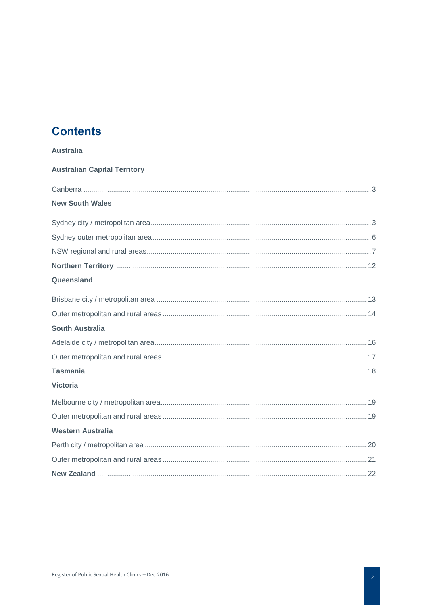# **Contents**

<span id="page-2-0"></span>

| <b>Australia</b>                    |
|-------------------------------------|
| <b>Australian Capital Territory</b> |
|                                     |
| <b>New South Wales</b>              |
|                                     |
|                                     |
|                                     |
|                                     |
| Queensland                          |
|                                     |
|                                     |
| <b>South Australia</b>              |
|                                     |
|                                     |
|                                     |
| <b>Victoria</b>                     |
|                                     |
|                                     |
| <b>Western Australia</b>            |
|                                     |
|                                     |
|                                     |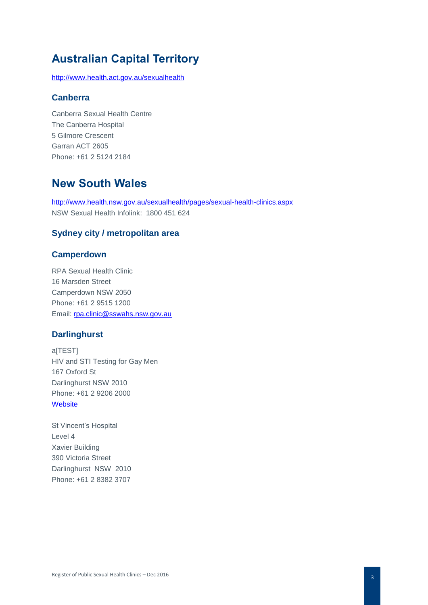# **Australian Capital Territory**

<http://www.health.act.gov.au/sexualhealth>

#### **Canberra**

Canberra Sexual Health Centre The Canberra Hospital 5 Gilmore Crescent Garran ACT 2605 Phone: +61 2 5124 2184

# **New South Wales**

<http://www.health.nsw.gov.au/sexualhealth/pages/sexual-health-clinics.aspx> NSW Sexual Health Infolink: 1800 451 624

# **Sydney city / metropolitan area**

#### **Camperdown**

RPA Sexual Health Clinic 16 Marsden Street Camperdown NSW 2050 Phone: +61 2 9515 1200 Email: [rpa.clinic@sswahs.nsw.gov.au](mailto:rpa.clinic@sswahs.nsw.gov.au)

#### **Darlinghurst**

a<sub>[TEST]</sub> HIV and STI Testing for Gay Men 167 Oxford St Darlinghurst NSW 2010 Phone: +61 2 9206 2000 **[Website](http://www.atest.org.au/)** 

St Vincent's Hospital Level 4 Xavier Building 390 Victoria Street Darlinghurst NSW 2010 Phone: +61 2 8382 3707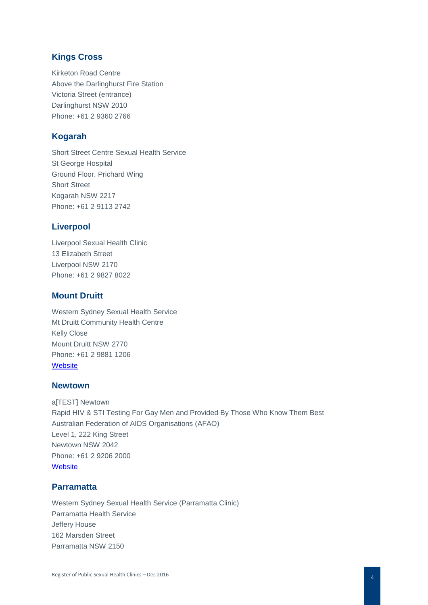# **Kings Cross**

Kirketon Road Centre Above the Darlinghurst Fire Station Victoria Street (entrance) Darlinghurst NSW 2010 Phone: +61 2 9360 2766

## **Kogarah**

Short Street Centre Sexual Health Service St George Hospital Ground Floor, Prichard Wing Short Street Kogarah NSW 2217 Phone: +61 2 9113 2742

# **Liverpool**

Liverpool Sexual Health Clinic 13 Elizabeth Street Liverpool NSW 2170 Phone: +61 2 9827 8022

# **Mount Druitt**

Western Sydney Sexual Health Service Mt Druitt Community Health Centre Kelly Close Mount Druitt NSW 2770 Phone: +61 2 9881 1206 **[Website](http://www.wslhd.health.nsw.gov.au/Western-Sydney-Sexual-Health-Centre)** 

# **Newtown**

a[TEST] Newtown Rapid HIV & STI Testing For Gay Men and Provided By Those Who Know Them Best Australian Federation of AIDS Organisations (AFAO) Level 1, 222 King Street Newtown NSW 2042 Phone: +61 2 9206 2000 **[Website](http://www.atest.org.au/)** 

# **Parramatta**

Western Sydney Sexual Health Service (Parramatta Clinic) Parramatta Health Service Jeffery House 162 Marsden Street Parramatta NSW 2150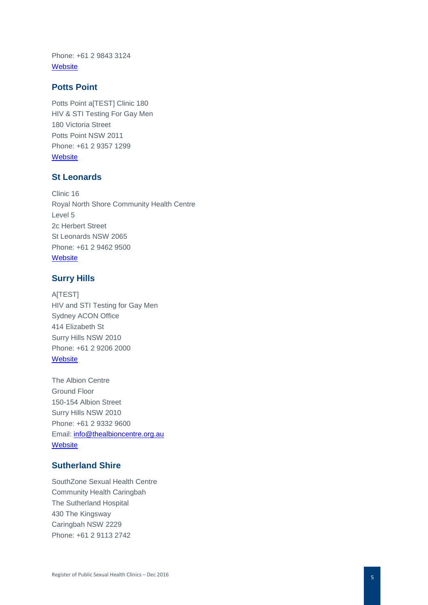Phone: +61 2 9843 3124 **[Website](http://www.wslhd.health.nsw.gov.au/Western-Sydney-Sexual-Health-Centre)** 

#### **Potts Point**

Potts Point a[TEST] Clinic 180 HIV & STI Testing For Gay Men 180 Victoria Street Potts Point NSW 2011 Phone: +61 2 9357 1299 **[Website](https://www.seslhd.health.nsw.gov.au/clinic-180)** 

#### **St Leonards**

Clinic 16 Royal North Shore Community Health Centre Level 5 2c Herbert Street St Leonards NSW 2065 Phone: +61 2 9462 9500 **Website** 

## **Surry Hills**

A[TEST] HIV and STI Testing for Gay Men Sydney ACON Office 414 Elizabeth St Surry Hills NSW 2010 Phone: +61 2 9206 2000 **[Website](http://www.atest.org.au/)** 

The Albion Centre Ground Floor 150 -154 Albion Street Surry Hills NSW 2010 Phone: +61 2 9332 9600 Email: [info@thealbioncentre.org.au](mailto:info@thealbioncentre.org.au) **[Website](http://thealbioncentre.org.au/)** 

#### **Sutherland Shire**

SouthZone Sexual Health Centre Community Health Caringbah The Sutherland Hospital 430 The Kingsway Caringbah NSW 2229 Phone: +61 2 9113 2742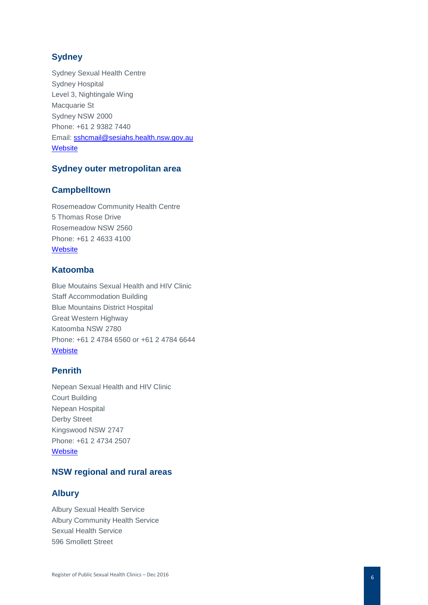# **Sydney**

Sydney Sexual Health Centre Sydney Hospital Level 3, Nightingale Wing Macquarie St Sydney NSW 2000 Phone: +61 2 9382 7440 Email: [sshcmail@sesiahs.health.nsw.gov.au](mailto:sshcmail@sesiahs.health.nsw.gov.au) **[Website](http://www.sshc.org.au/)** 

# **Sydney outer metropolitan area**

#### **Campbelltown**

Rosemeadow Community Health Centre 5 Thomas Rose Drive Rosemeadow NSW 2560 Phone: +61 2 4633 4100 **[Website](https://www.swslhd.health.nsw.gov.au/communityhealth/centres_rosemeadow.html)** 

# **Katoomba**

Blue Moutains Sexual Health and HIV Clinic Staff Accommodation Building Blue Mountains District Hospital Great Western Highway Katoomba NSW 2780 Phone: +61 2 4784 6560 or +61 2 4784 6644 [Webiste](http://www.nbmlhd.health.nsw.gov.au/sexual-health) 

# **Penrith**

Nepean Sexual Health and HIV Clinic Court Building Nepean Hospital Derby Street Kingswood NSW 2747 Phone: +61 2 4734 2507 **[Website](http://www.nbmlhd.health.nsw.gov.au/sexual-health)** 

# **NSW regional and rural areas**

# **Albury**

Albury Sexual Health Service Albury Community Health Service Sexual Health Service 596 Smollett Stree t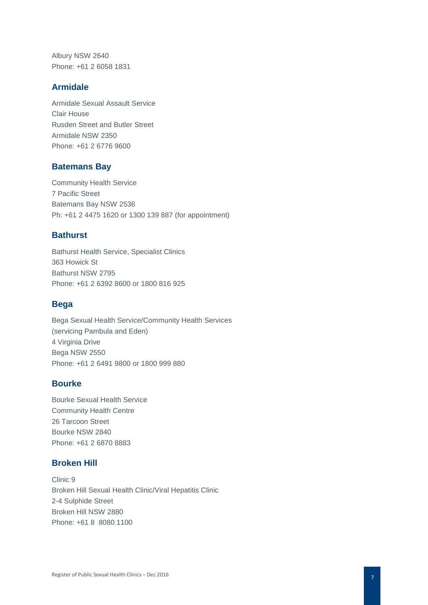Albury NSW 2640 Phone: +61 2 6058 1831

#### **Armidale**

Armidale Sexual Assault Service Clair House Rusden Street and Butler Street Armidale NSW 2350 Phone: +61 2 6776 9600

#### **Batemans Bay**

Community Health Service 7 Pacific Street Batemans Bay NSW 2536 Ph: +61 2 4475 1620 or 1300 139 887 (for appointment)

## **Bathurst**

Bathurst Health Service, Specialist Clinics 363 Howick St Bathurst NSW 2795 Phone: +61 2 6392 8600 or 1800 816 925

#### **Bega**

Bega Sexual Health Service/Community Health Services (servicing Pambula and Eden) 4 Virginia Drive Bega NSW 2550 Phone: +61 2 6491 9800 or 1800 999 880

#### **Bourke**

Bourke Sexual Health Service Community Health Centre 26 Tarcoon Street Bourke NSW 2840 Phone: +61 2 6870 8883

# **Broken Hill**

Clinic 9 Broken Hill Sexual Health Clinic/Viral Hepatitis Clinic 2-4 Sulphide Street Broken Hill NSW 2880 Phone: +61 8 8080 1100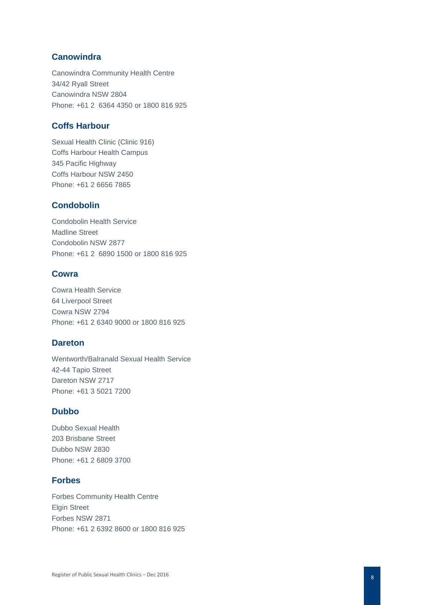# **Canowindra**

Canowindra Community Health Centre 34/42 Ryall Street Canowindra NSW 2804 Phone: +61 2 6364 4350 or 1800 816 925

## **Coffs Harbour**

Sexual Health Clinic (Clinic 916) Coffs Harbour Health Campus 345 Pacific Highway Coffs Harbour NSW 2450 Phone: +61 2 6656 7865

# **Condobolin**

Condobolin Health Service Madline Street Condobolin NSW 2877 Phone: +61 2 6890 1500 or 1800 816 925

#### **Cowra**

Cowra Health Service 64 Liverpool Street Cowra NSW 2794 Phone: +61 2 6340 9000 or 1800 816 925

#### **Dareton**

Wentworth/Balranald Sexual Health Service 42-44 Tapio Street Dareton NSW 2717 Phone: +61 3 5021 7200

#### **Dubbo**

Dubbo Sexual Health 203 Brisbane Street Dubbo NSW 2830 Phone: +61 2 6809 3700

# **Forbes**

Forbes Community Health Centre Elgin Street Forbes NSW 2871 Phone: +61 2 6392 8600 or 1800 816 925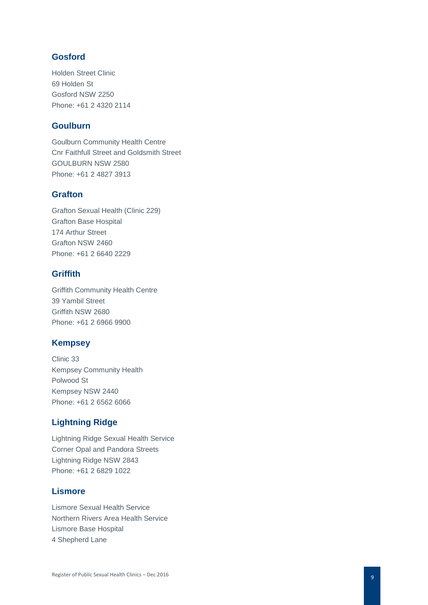# **Gosford**

Holden Street Clinic 69 Holden St Gosford NSW 2250 Phone: +61 2 4320 211 4

#### **Goulburn**

Goulburn Community Health Centre Cnr Faithfull Street and Goldsmith Street GOULBURN NSW 2580 Phone: +61 2 4827 3913

# **Grafton**

Grafton Sexual Health (Clinic 229) Grafton Base Hospital 174 Arthur Street Grafton NSW 2460 Phone: +61 2 6640 2229

# **Griffith**

Griffith Community Health Centre 39 Yambil Street Griffith NSW 2680 Phone: +61 2 6966 9900

# **Kempsey**

Clinic 33 Kempsey Community Health Polwood St Kempsey NSW 2440 Phone: +61 2 6562 6066

# **Lightning Ridge**

Lightning Ridge Sexual Health Service Corner Opal and Pandora Streets Lightning Ridge NSW 2843 Phone: +61 2 6829 1022

#### **Lismore**

Lismore Sexual Health Service Northern Rivers Area Health Service Lismore Base Hospital 4 Shepherd Lane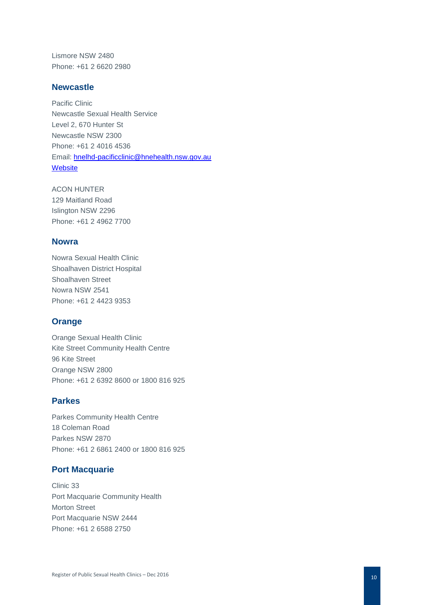Lismore NSW 2480 Phone: +61 2 6620 2980

#### **Newcastle**

Pacific Clinic Newcastle Sexual Health Service Level 2, 670 Hunter St Newcastle NSW 2300 Phone: +61 2 4016 4536 Email: [hnelhd-pacificclinic@hnehealth.nsw.gov.au](mailto:hnelhd-pacificclinic@hnehealth.nsw.gov.au) **[Website](http://hnesexualhealth.org.au/newcastle)** 

ACON HUNTER 129 Maitland Road Islington NSW 2296 Phone: +61 2 4962 7700

# **Nowra**

Nowra Sexual Health Clinic Shoalhaven District Hospital Shoalhaven Street Nowra NSW 2541 Phone: +61 2 4423 9353

# **Orange**

Orange Sexual Health Clinic Kite Street Community Health Centre 96 Kite Street Orange NSW 2800 Phone: +61 2 6392 8600 or 1800 816 925

#### **Parkes**

Parkes Community Health Centre 18 Coleman Road Parkes NSW 2870 Phone: +61 2 6861 2400 or 1800 816 925

# **Port Macquarie**

Clinic 33 Port Macquarie Community Health Morton Street Port Macquarie NSW 2444 Phone: +61 2 6588 2750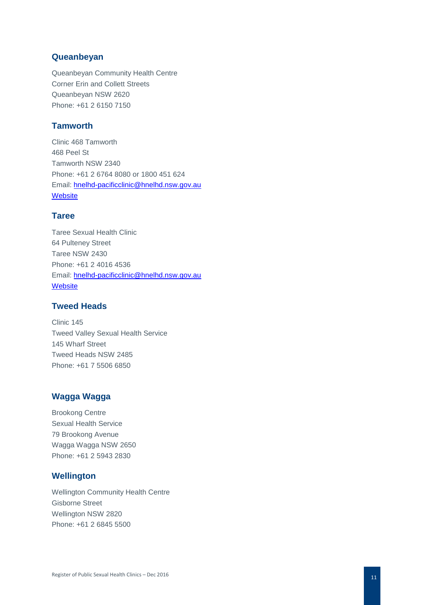#### **Queanbeyan**

Queanbeyan Community Health Centre Corner Erin and Collett Streets Queanbeyan NSW 2620 Phone: +61 2 6150 7150

# **Tamworth**

Clinic 468 Tamworth 468 Peel St Tamworth NSW 2340 Phone: +61 2 6764 8080 or 1800 451 624 Email: [hnelhd-pacificclinic@hnelhd.nsw.gov.au](mailto:hnelhd-pacificclinic@hnelhd.nsw.gov.au) **[Website](http://hnesexualhealth.org.au/tamworth)** 

#### **Taree**

Taree Sexual Health Clinic 64 Pulteney Street Taree NSW 2430 Phone: +61 2 4016 4536 Email: [hnelhd-pacificclinic@hnelhd.nsw.gov.au](mailto:hnelhd-pacificclinic@hnelhd.nsw.gov.au) **[Website](http://hnesexualhealth.org.au/taree)** 

# **Tweed Heads**

Clinic 145 Tweed Valley Sexual Health Service 145 Wharf Street Tweed Heads NSW 2485 Phone: +61 7 5506 6850

# **Wagga Wagga**

Brookong Centre Sexual Health Service 79 Brookong Avenue Wagga Wagga NSW 2650 Phone: +61 2 5943 2830

# **Wellington**

Wellington Community Health Centre Gisborne Street Wellington NSW 2820 Phone: +61 2 6845 5500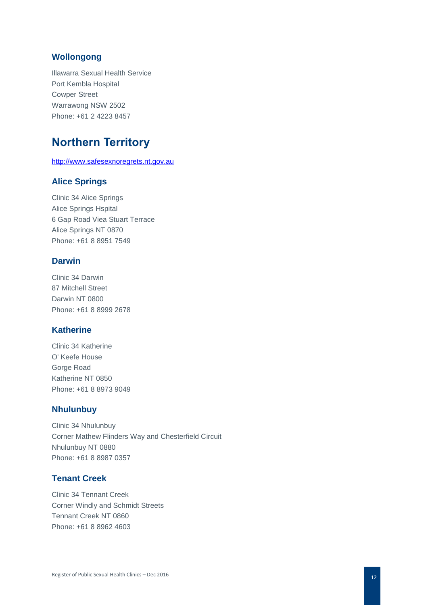# **Wollongong**

Illawarra Sexual Health Service Port Kembla Hospital Cowper Street Warrawong NSW 2502 Phone: +61 2 4223 8457

# **Northern Territory**

[http://www.safesexnoregrets.nt.gov.au](http://www.safesexnoregrets.nt.gov.au/)

# **Alice Springs**

Clinic 34 Alice Springs Alice Springs Hspital 6 Gap Road Viea Stuart Terrace Alice Springs NT 0870 Phone: +61 8 8951 7549

#### **Darwin**

Clinic 34 Darwin 87 Mitchell Street Darwin NT 0800 Phone: +61 8 8999 2678

# **Katherine**

Clinic 34 Katherine O' Keefe House Gorge Road Katherine NT 0850 Phone: +61 8 8973 9049

#### **Nhulunbuy**

Clinic 34 Nhulunbuy Corner Mathew Flinders Way and Chesterfield Circuit Nhulunbuy NT 0880 Phone: +61 8 8987 0357

# **Tenant Creek**

Clinic 34 Tennant Creek Corner Windly and Schmidt Streets Tennant Creek NT 0860 Phone: +61 8 8962 4603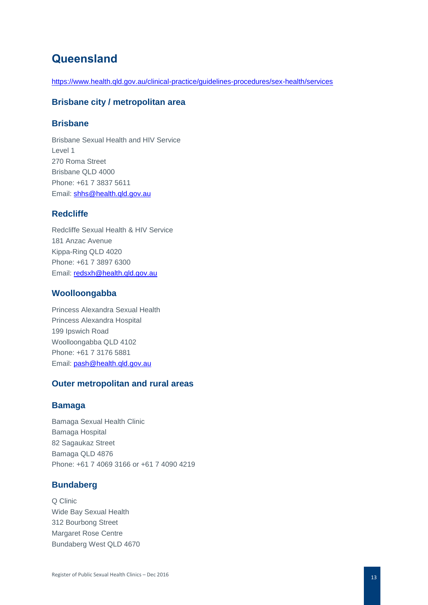# **Queensland**

<https://www.health.qld.gov.au/clinical-practice/guidelines-procedures/sex-health/services>

#### **Brisbane city / metropolitan area**

## **Brisbane**

Brisbane Sexual Health and HIV Service Level 1 270 Roma Street Brisbane QLD 4000 Phone: +61 7 3837 5611 Email: [shhs@health.qld.gov.au](mailto:shhs@health.qld.gov.au)

# **Redcliffe**

Redcliffe Sexual Health & HIV Service 181 Anzac Avenue Kippa-Ring QLD 4020 Phone: +61 7 3897 6300 Email: [redsxh@health.qld.gov.au](mailto:redsxh@health.qld.gov.au)

#### **Woolloongabba**

Princess Alexandra Sexual Health Princess Alexandra Hospital 199 Ipswich Road Woolloongabba QLD 4102 Phone: +61 7 3176 5881 Email: [pash@health.qld.gov.au](mailto:pash@health.qld.gov.au)

#### **Outer metropolitan and rural areas**

#### **Bamaga**

Bamaga Sexual Health Clinic Bamaga Hospital 82 Sagaukaz Street Bamaga QLD 4876 Phone: +61 7 4069 3166 or +61 7 4090 4219

# **Bundaberg**

Q Clinic Wide Bay Sexual Health 312 Bourbong Street Margaret Rose Centre Bundaberg West QLD 4670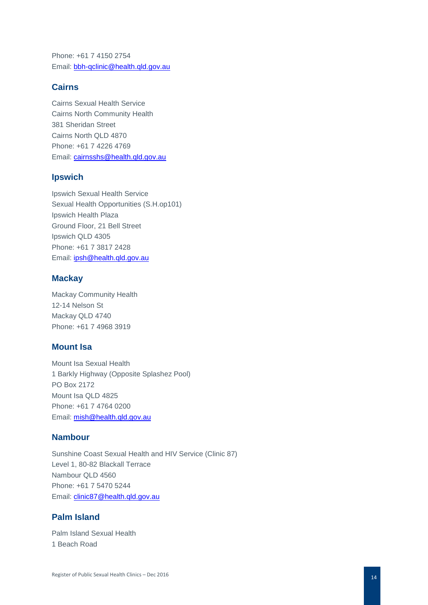Phone: +61 7 4150 2754 Email: [bbh-qclinic@health.qld.gov.au](mailto:bbh-qclinic@health.qld.gov.au)

#### **Cairns**

Cairns Sexual Health Service Cairns North Community Health 381 Sheridan Street Cairns North QLD 4870 Phone: +61 7 4226 4769 Email: [cairnsshs@health.qld.gov.au](mailto:cairnsshs@health.qld.gov.au)

#### **Ipswich**

Ipswich Sexual Health Service Sexual Health Opportunities (S.H.op101) Ipswich Health Plaza Ground Floor, 21 Bell Street Ipswich QLD 4305 Phone: +61 7 3817 2428 Email: [ipsh@health.qld.gov.au](mailto:ipsh@health.qld.gov.au)

#### **Mackay**

Mackay Community Health 12-14 Nelson St Mackay QLD 4740 Phone: +61 7 4968 3919

# **Mount Isa**

Mount Isa Sexual Health 1 Barkly Highway (Opposite Splashez Pool) PO Box 2172 Mount Isa QLD 4825 Phone: +61 7 4764 0200 Email: [mish@health.qld.gov.au](mailto:mish@health.qld.gov.au)

## **Nambour**

Sunshine Coast Sexual Health and HIV Service (Clinic 87) Level 1, 80-82 Blackall Terrace Nambour QLD 4560 Phone: +61 7 5470 5244 Email: [clinic87@health.qld.gov.au](mailto:clinic87@health.qld.gov.au)

# **Palm Island**

Palm Island Sexual Health 1 Beach Road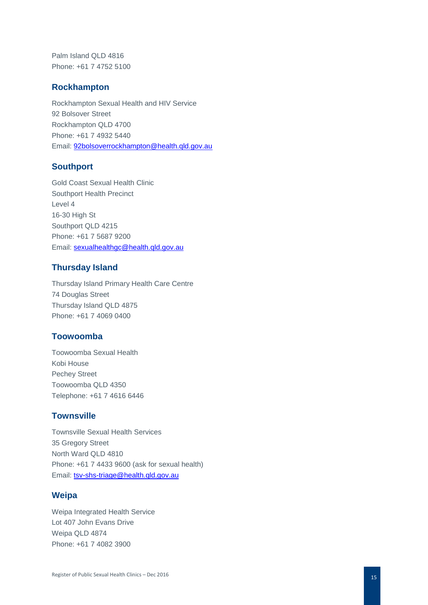Palm Island QLD 4816 Phone: +61 7 4752 5100

#### **Rockhampton**

Rockhampton Sexual Health and HIV Service 92 Bolsover Street Rockhampton QLD 4700 Phone: +61 7 4932 5440 Email: [92bolsoverrockhampton@health.qld.gov.au](mailto:92bolsoverrockhampton@health.qld.gov.au)

#### **Southport**

Gold Coast Sexual Health Clinic Southport Health Precinct Level 4 16-30 High St Southport QLD 4215 Phone: +61 7 5687 9200 Email: [sexualhealthgc@health.qld.gov.au](mailto:sexualhealthgc@health.qld.gov.au)

#### **Thursday Island**

Thursday Island Primary Health Care Centre 74 Douglas Street Thursday Island QLD 4875 Phone: +61 7 4069 0400

# **Toowoomba**

Toowoomba Sexual Health Kobi House Pechey Street Toowoomba QLD 4350 Telephone: +61 7 4616 6446

#### **Townsville**

Townsville Sexual Health Services 35 Gregory Street North Ward QLD 4810 Phone: +61 7 4433 9600 (ask for sexual health) Email: [tsv-shs-triage@health.qld.gov.au](mailto:tsv-shs-triage@health.qld.gov.au)

#### **Weipa**

Weipa Integrated Health Service Lot 407 John Evans Drive Weipa QLD 4874 Phone: +61 7 4082 3900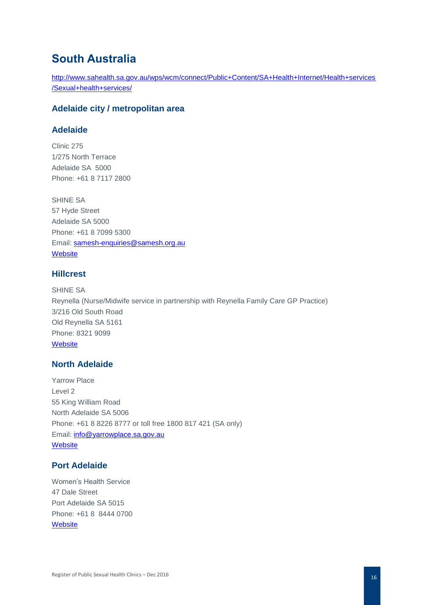# **South Australia**

[http://www.sahealth.sa.gov.au/wps/wcm/connect/Public+Content/SA+Health+Internet/Health+services](http://www.sahealth.sa.gov.au/wps/wcm/connect/Public+Content/SA+Health+Internet/Health+services/Sexual+health+services/) [/Sexual+health+services/](http://www.sahealth.sa.gov.au/wps/wcm/connect/Public+Content/SA+Health+Internet/Health+services/Sexual+health+services/)

# **Adelaide city / metropolitan area**

# **Adelaide**

Clinic 275 1/275 North Terrace Adelaide SA 5000 Phone: +61 8 7117 2800

SHINE SA 57 Hyde Street Adelaide SA 5000 Phone: +61 8 7099 5300 Email: [samesh-enquiries@samesh.org.au](mailto:samesh-enquiries@samesh.org.au) **[Website](http://www.samesh.org.au/)** 

# **Hillcrest**

SHINE SA Reynella (Nurse/Midwife service in partnership with Reynella Family Care GP Practice) 3/216 Old South Road Old Reynella SA 5161 Phone: 8321 9099 **[Website](http://www.shinesa.org.au/)** 

#### **North Adelaide**

Yarrow Place Level 2 55 King William Road North Adelaide SA 5006 Phone: +61 8 8226 8777 or toll free 1800 817 421 (SA only) Email: [info@yarrowplace.sa.gov.au](mailto:info@yarrowplace.sa.gov.au) **[Website](http://www.yarrowplace.sa.gov.au/)** 

#### **Port Adelaide**

Women's Health Service 47 Dale Street Port Adelaide SA 5015 Phone: +61 8 8444 0700 **[Website](http://www.whs.sa.gov.au/)**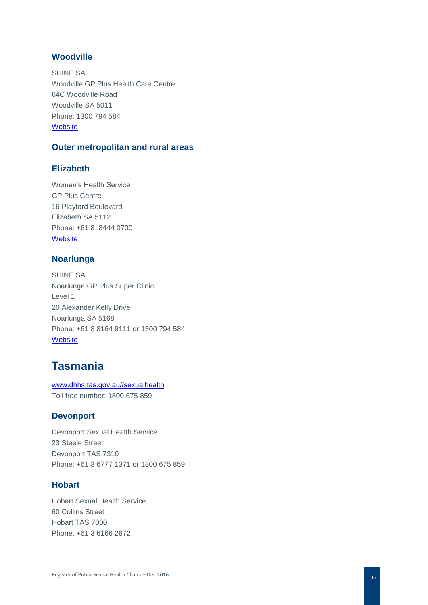# **Woodville**

SHINE SA Woodville GP Plus Health Care Centre 64C Woodville Road Woodville SA 5011 Phone: 1300 794 584 **[Website](http://www.shinesa.org.au/)** 

#### **Outer metropolitan and rural areas**

# **Elizabeth**

Women's Health Service GP Plus Centre 16 Playford Boulevard Elizabeth SA 5112 Phone: +61 8 8444 0700 **[Website](http://www.whs.sa.gov.au/)** 

#### **Noarlunga**

SHINE SA Noarlunga GP Plus Super Clinic Level 1 20 Alexander Kelly Drive Noarlunga SA 5168 Phone: +61 8 8164 9111 or 1300 794 584 **[Website](http://www.shinesa.org.au/)** 

# **Tasmania**

[www.dhhs.tas.gov.au//sexualhealth](http://www.dhhs.tas.gov.au/sexualhealth) Toll free number: 1800 675 859

#### **Devonport**

Devonport Sexual Health Service 23 Steele Street Devonport TAS 7310 Phone: +61 3 6777 1371 or 1800 675 859

# **Hobart**

Hobart Sexual Health Service 60 Collins Street Hobart TAS 7000 Phone: +61 3 6166 2672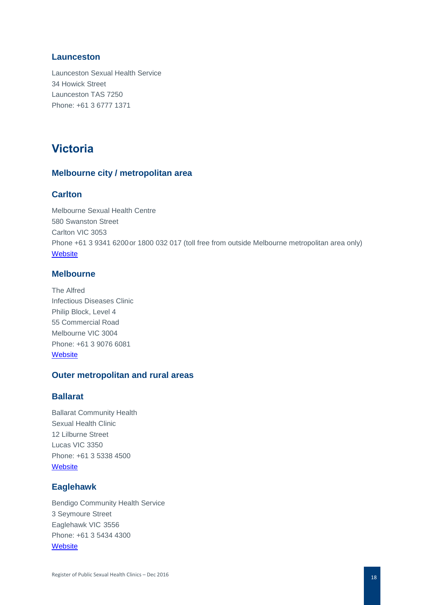# **Launceston**

Launceston Sexual Health Service 34 Howick Street Launceston TAS 7250 Phone: +61 3 6777 1371

# **Victoria**

# **Melbourne city / metropolitan area**

# **Carlton**

Melbourne Sexual Health Centre 580 Swanston Street Carlton VIC 3053 Phone +61 3 9341 6200or 1800 032 017 (toll free from outside Melbourne metropolitan area only) **[Website](http://www.mshc.org.au/)** 

#### **Melbourne**

The Alfred Infectious Diseases Clinic Philip Block, Level 4 55 Commercial Road Melbourne VIC 3004 Phone: +61 3 9076 6081 **Website** 

#### **Outer metropolitan and rural areas**

# **Ballarat**

Ballarat Community Health Sexual Health Clinic 12 Lilburne Street Lucas VIC 3350 Phone: +61 3 5338 4500 **[Website](http://www.bchc.org.au/)** 

# **Eaglehawk**

Bendigo Community Health Service 3 Seymoure Street Eaglehawk VIC 3556 Phone: +61 3 5434 4300 **[Website](http://www.bchs.com.au/)**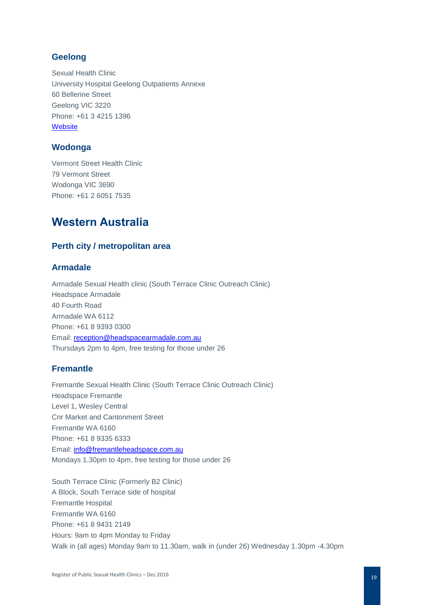# **Geelong**

Sexual Health Clinic University Hospital Geelong Outpatients Annexe 60 Bellerine Street Geelong VIC 3220 Phone: +61 3 4215 1396 **[Website](http://www.barwonhealth.org.au/services/item/sexual-health-information-screening)** 

# **Wodonga**

Vermont Street Health Clinic 79 Vermont Street Wodonga VIC 3690 Phone: +61 2 6051 7535

# **Western Australia**

#### **Perth city / metropolitan area**

## **Armadale**

Armadale Sexual Health clinic (South Terrace Clinic Outreach Clinic) Headspace Armadale 40 Fourth Road Armadale WA 6112 Phone: +61 8 9393 0300 Email: [reception@headspacearmadale.com.au](mailto:reception@headspacearmadale.com.au) Thursdays 2pm to 4pm, free testing for those under 26

# **Fremantle**

Fremantle Sexual Health Clinic (South Terrace Clinic Outreach Clinic) Headspace Fremantle Level 1, Wesley Central Cnr Market and Cantonment Street Fremantle WA 6160 Phone: +61 8 9335 6333 Email: [info@fremantleheadspace.com.au](mailto:info@fremantleheadspace.com.au) Mondays 1.30pm to 4pm, free testing for those under 26

South Terrace Clinic (Formerly B2 Clinic) A Block, South Terrace side of hospital Fremantle Hospital Fremantle WA 6160 Phone: +61 8 9431 2149 Hours: 9am to 4pm Monday to Friday Walk in (all ages) Monday 9am to 11.30am, walk in (under 26) Wednesday 1.30pm -4.30pm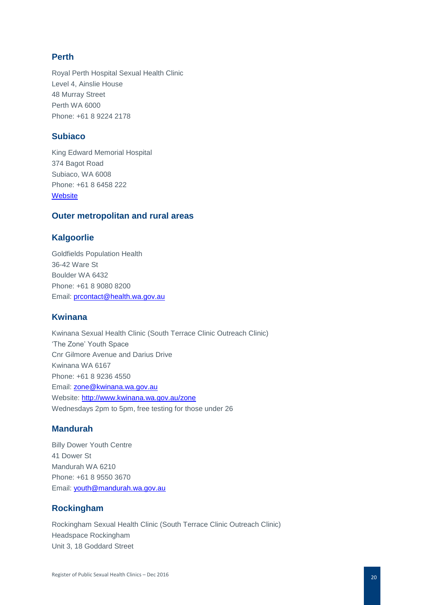# **Perth**

Royal Perth Hospital Sexual Health Clinic Level 4, Ainslie House 48 Murray Street Perth WA 6000 Phone: +61 8 9224 2178

#### **Subiaco**

King Edward Memorial Hospital 374 Bagot Road Subiaco, WA 6008 Phone: +61 8 6458 222 **[Website](https://www.kemh.health.wa.gov.au/)** 

# **Outer metropolitan and rural areas**

#### **Kalgoorlie**

Goldfields Population Health 36-42 Ware St Boulder WA 6432 Phone: +61 8 9080 8200 Email: [prcontact@health.wa.gov.au](mailto:prcontact@health.wa.gov.au)

#### **Kwinana**

Kwinana Sexual Health Clinic (South Terrace Clinic Outreach Clinic) 'The Zone' Youth Space Cnr Gilmore Avenue and Darius Drive Kwinana WA 6167 Phone: +61 8 9236 4550 Email: [zone@kwinana.wa.gov.au](mailto:zone@kwinana.wa.gov.au) Website:<http://www.kwinana.wa.gov.au/zone> Wednesdays 2pm to 5pm, free testing for those under 26

# **Mandurah**

Billy Dower Youth Centre 41 Dower St Mandurah WA 6210 Phone: +61 8 9550 3670 Email: [youth@mandurah.wa.gov.au](mailto:youth@mandurah.wa.gov.au)

# **Rockingham**

Rockingham Sexual Health Clinic (South Terrace Clinic Outreach Clinic) Headspace Rockingham Unit 3, 18 Goddard Street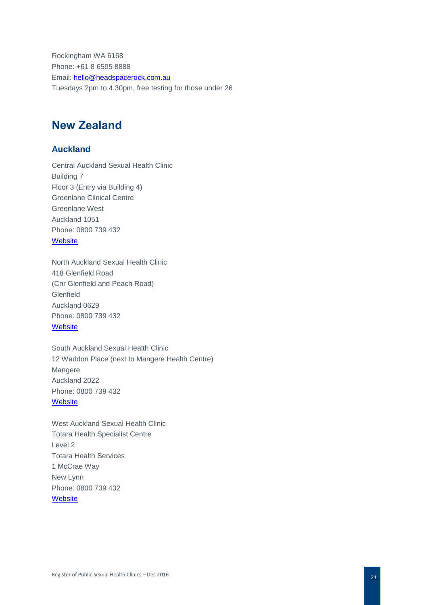Rockingham WA 6168 Phone: +61 8 6595 8888 Email: [hello@headspacerock.com.au](mailto:hello@headspacerock.com.au) Tuesdays 2pm to 4.30pm, free testing for those under 26

# **New Zealand**

# **Auckland**

Central Auckland Sexual Health Clinic Building 7 Floor 3 (Entry via Building 4) Greenlane Clinical Centre Greenlane West Auckland 1051 Phone: 0800 739 432 **[Website](http://www.ashs.org.nz/sexual-health-clinics.html)** 

North Auckland Sexual Health Clinic 418 Glenfield Road (Cnr Glenfield and Peach Road) Glenfield Auckland 0629 Phone: 0800 739 432 **[Website](http://www.ashs.org.nz/sexual-health-clinics.html)** 

South Auckland Sexual Health Clinic 12 Waddon Place (next to Mangere Health Centre) Mangere Auckland 2022 Phone: 0800 739 432 **[Website](http://www.ashs.org.nz/sexual-health-clinics.html)** 

West Auckland Sexual Health Clinic Totara Health Specialist Centre Level 2 Totara Health Services 1 McCrae Way New Lynn Phone: 0800 739 432 **[Website](http://www.ashs.org.nz/sexual-health-clinics.html)**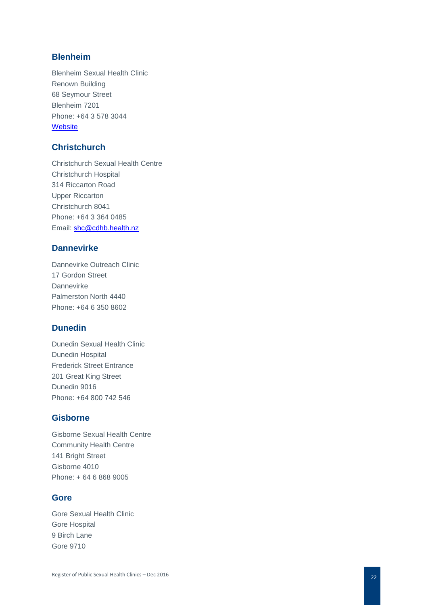# **Blenheim**

Blenheim Sexual Health Clinic Renown Building 68 Seymour Street Blenheim 7201 Phone: +64 3 578 3044 **[Website](https://healthpages.co.nz/directory/listing/sexual-health-services-incl-hivaids-sexual-health-clinic-blenheim)** 

# **Christchurch**

Christchurch Sexual Health Centre Christchurch Hospital 314 Riccarton Road Upper Riccarton Christchurch 8041 Phone: +64 3 364 0485 Email: [shc@cdhb.health.nz](mailto:shc@cdhb.health.nz)

# **Dannevirke**

Dannevirke Outreach Clinic 17 Gordon Street Dannevirke Palmerston North 4440 Phone: +64 6 350 8602

# **Dunedin**

Dunedin Sexual Health Clinic Dunedin Hospital Frederick Street Entrance 201 Great King Street Dunedin 9016 Phone: +64 800 742 546

# **Gisborne**

Gisborne Sexual Health Centre Community Health Centre 141 Bright Street Gisborne 4010 Phone: + 64 6 868 9005

#### **Gore**

Gore Sexual Health Clinic Gore Hospital 9 Birch Lane Gore 9710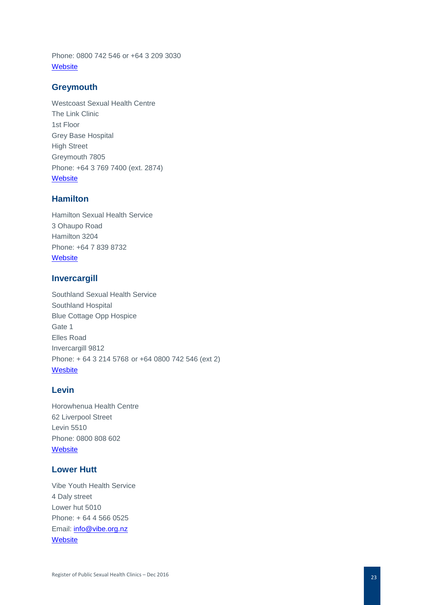Phone: 0800 742 546 or +64 3 209 3030 **[Website](http://www.gorehealth.co.nz/)** 

#### **Greymouth**

Westcoast Sexual Health Centre The Link Clinic 1st Floor Grey Base Hospital High Street Greymouth 7805 Phone: +64 3 769 7400 (ext. 2874) **[Website](https://www.wcdhb.health.nz/health-services/sexual-health/)** 

# **Hamilton**

Hamilton Sexual Health Service 3 Ohaupo Road Hamilton 3204 Phone: +64 7 839 8732 **[Website](https://www.waikatodhb.health.nz/about-us/a-z-of-services/community-and-southern-rural-health/sexual-health/)** 

#### **Invercargill**

Southland Sexual Health Service Southland Hospital Blue Cottage Opp Hospice Gate 1 Elles Road Invercargill 9812 Phone: + 64 3 214 5768 or +64 0800 742 546 (ext 2) **[Wesbite](http://www.southerndhb.govt.nz/index.php?page=2722)** 

# **Levin**

Horowhenua Health Centre 62 Liverpool Street Levin 5510 Phone: 0800 808 602 **[Website](http://www.midcentraldhb.govt.nz/HealthServices/sexualhealth/Pages/default.aspx)** 

# **Lower Hutt**

Vibe Youth Health Service 4 Daly street Lower hut 5010 Phone: + 64 4 566 0525 Email: [info@vibe.org.nz](mailto:info@vibe.org.nz) **[Website](http://www.vibe.org.nz/)**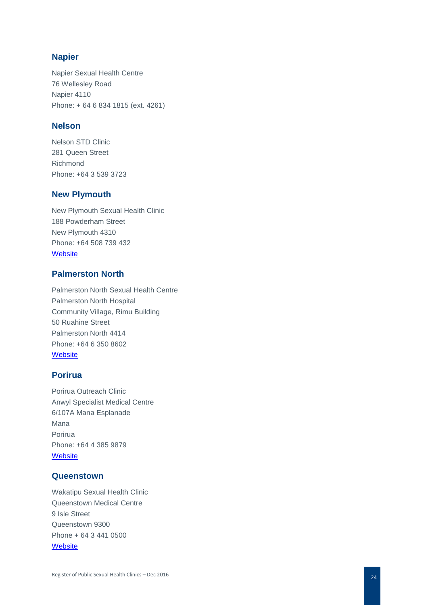# **Napier**

Napier Sexual Health Centre 76 Wellesley Road Napier 4110 Phone: + 64 6 834 1815 (ext. 4261)

#### **Nelson**

Nelson STD Clinic 281 Queen Street Richmond Phone: +64 3 539 3723

# **New Plymouth**

New Plymouth Sexual Health Clinic 188 Powderham Street New Plymouth 4310 Phone: +64 508 739 432 **[Website](http://www.tdhb.org.nz/services/sexual_health.shtml)** 

# **Palmerston North**

Palmerston North Sexual Health Centre Palmerston North Hospital Community Village, Rimu Building 50 Ruahine Street Palmerston North 4414 Phone: +64 6 350 8602 **[Website](http://www.midcentraldhb.govt.nz/HealthServices/sexualhealth/Pages/default.aspx)** 

# **Porirua**

Porirua Outreach Clinic Anwyl Specialist Medical Centre 6/107A Mana Esplanade Mana Porirua Phone: +64 4 385 9879 **[Website](http://www.compasshealth.org.nz/HealthServices/SexualHealthMedicine.aspx)** 

#### **Queenstown**

Wakatipu Sexual Health Clinic Queenstown Medical Centre 9 Isle Street Queenstown 9300 Phone + 64 3 441 0500 **[Website](http://www.qmc.co.nz/services/sexual-health-clinic/)**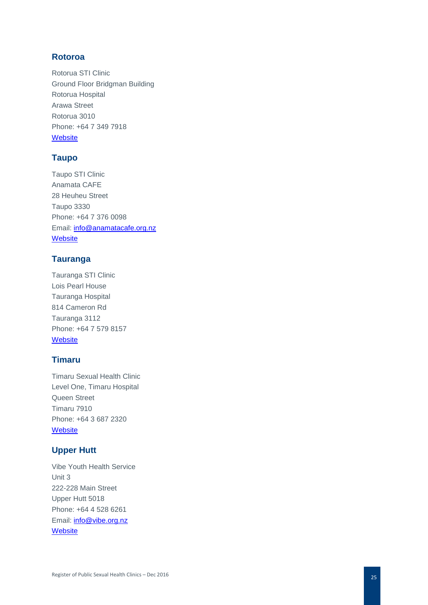# **Rotoroa**

Rotorua STI Clinic Ground Floor Bridgman Building Rotorua Hospital Arawa Street Rotorua 3010 Phone: +64 7 349 7918 **[Website](http://www.lakesdhb.govt.nz/Article.aspx?ID=7590)** 

# **Taupo**

Taupo STI Clinic Anamata CAFE 28 Heuheu Street Taupo 3330 Phone: +64 7 376 0098 Email: [info@anamatacafe.org.nz](mailto:info@anamatacafe.org.nz) **[Website](http://www.youthcafetaupo.org.nz/)** 

# **Tauranga**

Tauranga STI Clinic Lois Pearl House Tauranga Hospital 814 Cameron Rd Tauranga 3112 Phone: +64 7 579 8157 **[Website](http://www.bopdhb.govt.nz/services/a-z-hospital-services/sexual-health/clinic-2-tauranga/)** 

# **Timaru**

Timaru Sexual Health Clinic Level One, Timaru Hospital Queen Street Timaru 7910 Phone: +64 3 687 2320 **[Website](https://www.scdhb.health.nz/services/womens-health/sexual-health)** 

# **Upper Hutt**

Vibe Youth Health Service Unit 3 222 -228 Main Street Upper Hutt 5018 Phone: +64 4 528 6261 Email: [info@vibe.org.nz](mailto:info@vibe.org.nz) **[Website](http://www.vibe.org.nz/)**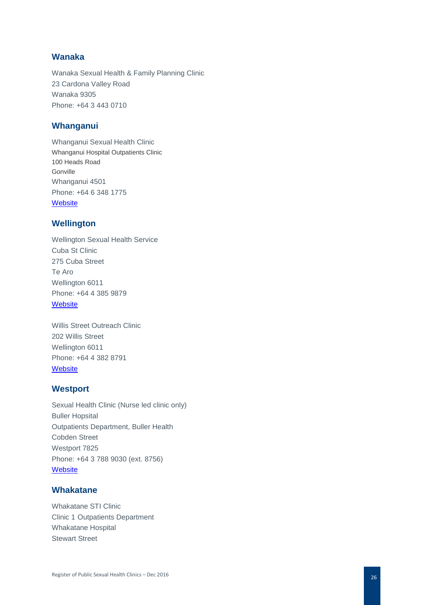# **Wanaka**

Wanaka Sexual Health & Family Planning Clinic 23 Cardona Valley Road Wanaka 9305 Phone: +64 3 443 0710

#### **Whanganui**

Whanganui Sexual Health Clinic Whanganui Hospital Outpatients Clinic 100 Heads Road Gonville Whanganui 4501 Phone: +64 6 348 1775 **[Website](https://www.justthefacts.co.nz/get-sti-help/find-local-sexual-health-sti-clinic-new-zealand/whanganui-sexual-health-providers)** 

#### **Wellington**

Wellington Sexual Health Service Cuba St Clinic 275 Cuba Street Te Aro Wellington 6011 Phone: +64 4 385 9879 **[Website](https://www.healthpoint.co.nz/public/sexual-health/wellington-sexual-health-service/)** 

Willis Street Outreach Clinic 202 Willis Street Wellington 6011 Phone: +64 4 382 8791 **[Website](http://www.healthpoint.co.nz/public/sexual-health/wellington-sexual-health-service/)** 

#### **Westport**

Sexual Health Clinic (Nurse led clinic only) Buller Hopsital Outpatients Department, Buller Health Cobden Street Westport 7825 Phone: +64 3 788 9030 (ext. 8756) **[Website](https://www.wcdhb.health.nz/hospitals-health-facilities/buller-health/)** 

#### **Whakatane**

Whakatane STI Clinic Clinic 1 Outpatients Department Whakatane Hospital Stewart Street